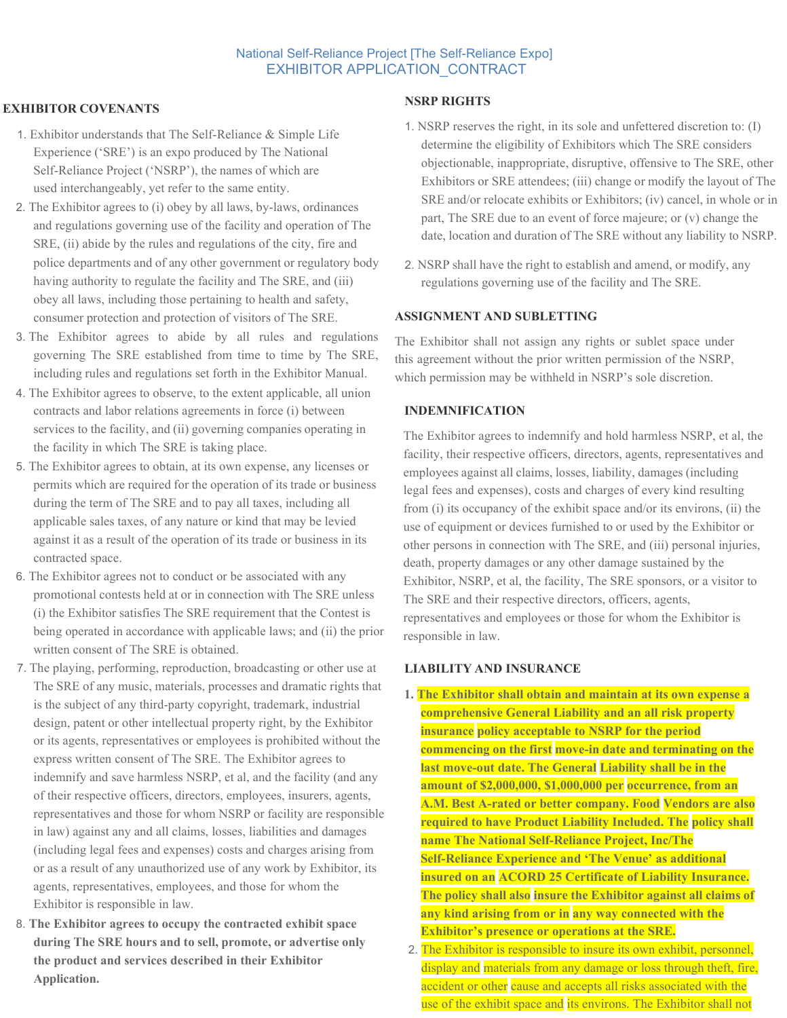# National Self-Reliance Project [The Self-Reliance Expo] EXHIBITOR APPLICATION\_CONTRACT

# **EXHIBITOR COVENANTS**

- 1. Exhibitor understands that The Self-Reliance & Simple Life Experience ('SRE') is an expo produced by The National Self-Reliance Project ('NSRP'), the names of which are used interchangeably, yet refer to the same entity.
- 2. The Exhibitor agrees to (i) obey by all laws, by-laws, ordinances and regulations governing use of the facility and operation of The SRE, (ii) abide by the rules and regulations of the city, fire and police departments and of any other government or regulatory body having authority to regulate the facility and The SRE, and (iii) obey all laws, including those pertaining to health and safety, consumer protection and protection of visitors of The SRE.
- 3. The Exhibitor agrees to abide by all rules and regulations governing The SRE established from time to time by The SRE, including rules and regulations set forth in the Exhibitor Manual.
- 4. The Exhibitor agrees to observe, to the extent applicable, all union contracts and labor relations agreements in force (i) between services to the facility, and (ii) governing companies operating in the facility in which The SRE is taking place.
- 5. The Exhibitor agrees to obtain, at its own expense, any licenses or permits which are required for the operation of its trade or business during the term of The SRE and to pay all taxes, including all applicable sales taxes, of any nature or kind that may be levied against it as a result of the operation of its trade or business in its contracted space.
- 6. The Exhibitor agrees not to conduct or be associated with any promotional contests held at or in connection with The SRE unless (i) the Exhibitor satisfies The SRE requirement that the Contest is being operated in accordance with applicable laws; and (ii) the prior written consent of The SRE is obtained.
- 7. The playing, performing, reproduction, broadcasting or other use at The SRE of any music, materials, processes and dramatic rights that is the subject of any third-party copyright, trademark, industrial design, patent or other intellectual property right, by the Exhibitor or its agents, representatives or employees is prohibited without the express written consent of The SRE. The Exhibitor agrees to indemnify and save harmless NSRP, et al, and the facility (and any of their respective officers, directors, employees, insurers, agents, representatives and those for whom NSRP or facility are responsible in law) against any and all claims, losses, liabilities and damages (including legal fees and expenses) costs and charges arising from or as a result of any unauthorized use of any work by Exhibitor, its agents, representatives, employees, and those for whom the Exhibitor is responsible in law.
- 8. **The Exhibitor agrees to occupy the contracted exhibit space during The SRE hours and to sell, promote, or advertise only the product and services described in their Exhibitor Application.**

### **NSRP RIGHTS**

- 1. NSRP reserves the right, in its sole and unfettered discretion to: (I) determine the eligibility of Exhibitors which The SRE considers objectionable, inappropriate, disruptive, offensive to The SRE, other Exhibitors or SRE attendees; (iii) change or modify the layout of The SRE and/or relocate exhibits or Exhibitors; (iv) cancel, in whole or in part, The SRE due to an event of force majeure; or (v) change the date, location and duration of The SRE without any liability to NSRP.
- 2. NSRP shall have the right to establish and amend, or modify, any regulations governing use of the facility and The SRE.

### **ASSIGNMENT AND SUBLETTING**

The Exhibitor shall not assign any rights or sublet space under this agreement without the prior written permission of the NSRP, which permission may be withheld in NSRP's sole discretion.

# **INDEMNIFICATION**

The Exhibitor agrees to indemnify and hold harmless NSRP, et al, the facility, their respective officers, directors, agents, representatives and employees against all claims, losses, liability, damages (including legal fees and expenses), costs and charges of every kind resulting from (i) its occupancy of the exhibit space and/or its environs, (ii) the use of equipment or devices furnished to or used by the Exhibitor or other persons in connection with The SRE, and (iii) personal injuries, death, property damages or any other damage sustained by the Exhibitor, NSRP, et al, the facility, The SRE sponsors, or a visitor to The SRE and their respective directors, officers, agents, representatives and employees or those for whom the Exhibitor is responsible in law.

# **LIABILITY AND INSURANCE**

- **1. The Exhibitor shall obtain and maintain at its own expense a comprehensive General Liability and an all risk property insurance policy acceptable to NSRP for the period commencing on the first move-in date and terminating on the last move-out date. The General Liability shall be in the amount of \$2,000,000, \$1,000,000 per occurrence, from an A.M. Best A-rated or better company. Food Vendors are also required to have Product Liability Included. The policy shall name The National Self-Reliance Project, Inc/The Self-Reliance Experience and 'The Venue' as additional insured on an ACORD 25 Certificate of Liability Insurance. The policy shall also insure the Exhibitor against all claims of any kind arising from or in any way connected with the Exhibitor's presence or operations at the SRE.**
- 2. The Exhibitor is responsible to insure its own exhibit, personnel, display and materials from any damage or loss through theft, fire, accident or other cause and accepts all risks associated with the use of the exhibit space and its environs. The Exhibitor shall not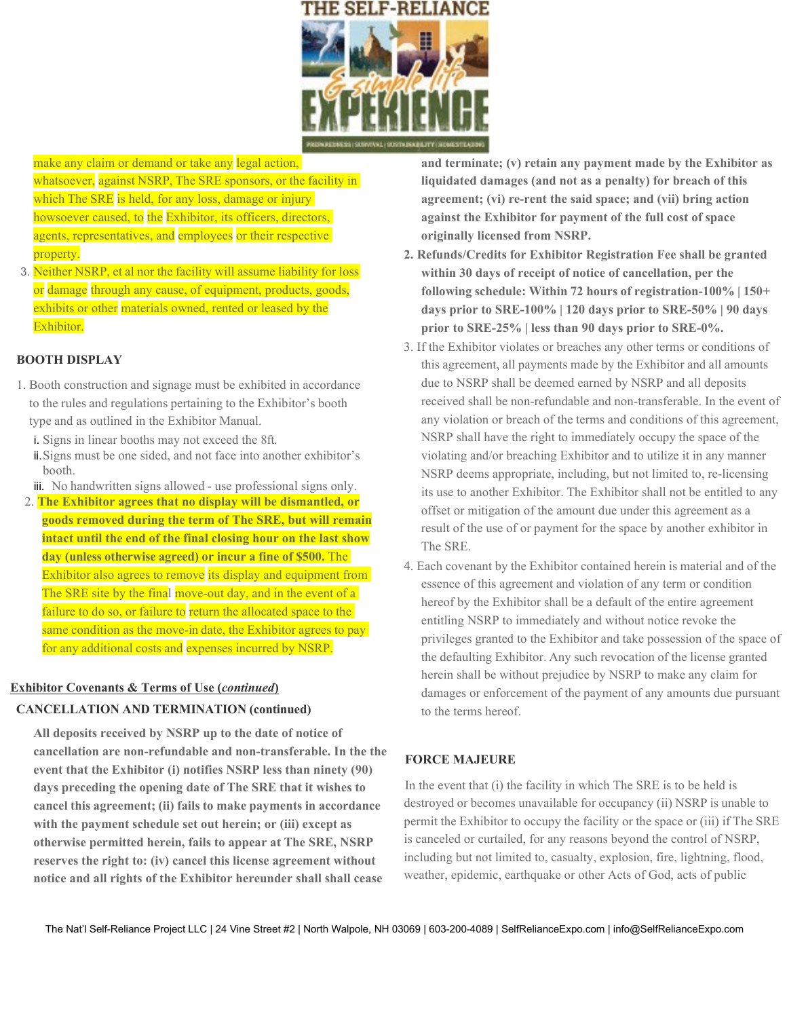

make any claim or demand or take any legal action, whatsoever, against NSRP, The SRE sponsors, or the facility in which The SRE is held, for any loss, damage or injury howsoever caused, to the Exhibitor, its officers, directors, agents, representatives, and employees or their respective property.

3. Neither NSRP, et al nor the facility will assume liability for loss or damage through any cause, of equipment, products, goods, exhibits or other materials owned, rented or leased by the Exhibitor.

# **BOOTH DISPLAY**

- 1. Booth construction and signage must be exhibited in accordance to the rules and regulations pertaining to the Exhibitor's booth type and as outlined in the Exhibitor Manual.
	- i. Signs in linear booths may not exceed the 8ft.
	- ii.Signs must be one sided, and not face into another exhibitor's booth.
	- iii. No handwritten signs allowed use professional signs only.
- 2. **The Exhibitor agrees that no display will be dismantled, or goods removed during the term of The SRE, but will remain intact until the end of the final closing hour on the last show day (unless otherwise agreed) or incur a fine of \$500.** The Exhibitor also agrees to remove its display and equipment from The SRE site by the final move-out day, and in the event of a failure to do so, or failure to return the allocated space to the same condition as the move-in date, the Exhibitor agrees to pay for any additional costs and expenses incurred by NSRP.

### **Exhibitor Covenants & Terms of Use (***continued***)**

#### **CANCELLATION AND TERMINATION (continued)**

**All deposits received by NSRP up to the date of notice of cancellation are non-refundable and non-transferable. In the the event that the Exhibitor (i) notifies NSRP less than ninety (90) days preceding the opening date of The SRE that it wishes to cancel this agreement; (ii) fails to make payments in accordance with the payment schedule set out herein; or (iii) except as otherwise permitted herein, fails to appear at The SRE, NSRP reserves the right to: (iv) cancel this license agreement without notice and all rights of the Exhibitor hereunder shall shall cease** 

**and terminate; (v) retain any payment made by the Exhibitor as liquidated damages (and not as a penalty) for breach of this agreement; (vi) re-rent the said space; and (vii) bring action against the Exhibitor for payment of the full cost of space originally licensed from NSRP.**

- **2. Refunds/Credits for Exhibitor Registration Fee shall be granted within 30 days of receipt of notice of cancellation, per the following schedule: Within 72 hours of registration-100% | 150+ days prior to SRE-100% | 120 days prior to SRE-50% | 90 days prior to SRE-25% | less than 90 days prior to SRE-0%.**
- 3. If the Exhibitor violates or breaches any other terms or conditions of this agreement, all payments made by the Exhibitor and all amounts due to NSRP shall be deemed earned by NSRP and all deposits received shall be non-refundable and non-transferable. In the event of any violation or breach of the terms and conditions of this agreement, NSRP shall have the right to immediately occupy the space of the violating and/or breaching Exhibitor and to utilize it in any manner NSRP deems appropriate, including, but not limited to, re-licensing its use to another Exhibitor. The Exhibitor shall not be entitled to any offset or mitigation of the amount due under this agreement as a result of the use of or payment for the space by another exhibitor in The SRE.
- 4. Each covenant by the Exhibitor contained herein is material and of the essence of this agreement and violation of any term or condition hereof by the Exhibitor shall be a default of the entire agreement entitling NSRP to immediately and without notice revoke the privileges granted to the Exhibitor and take possession of the space of the defaulting Exhibitor. Any such revocation of the license granted herein shall be without prejudice by NSRP to make any claim for damages or enforcement of the payment of any amounts due pursuant to the terms hereof.

## **FORCE MAJEURE**

In the event that (i) the facility in which The SRE is to be held is destroyed or becomes unavailable for occupancy (ii) NSRP is unable to permit the Exhibitor to occupy the facility or the space or (iii) if The SRE is canceled or curtailed, for any reasons beyond the control of NSRP, including but not limited to, casualty, explosion, fire, lightning, flood, weather, epidemic, earthquake or other Acts of God, acts of public

The Nat'l Self-Reliance Project LLC | 24 Vine Street #2 | North Walpole, NH 03069 | 603-200-4089 | SelfRelianceExpo.com | info@SelfRelianceExpo.com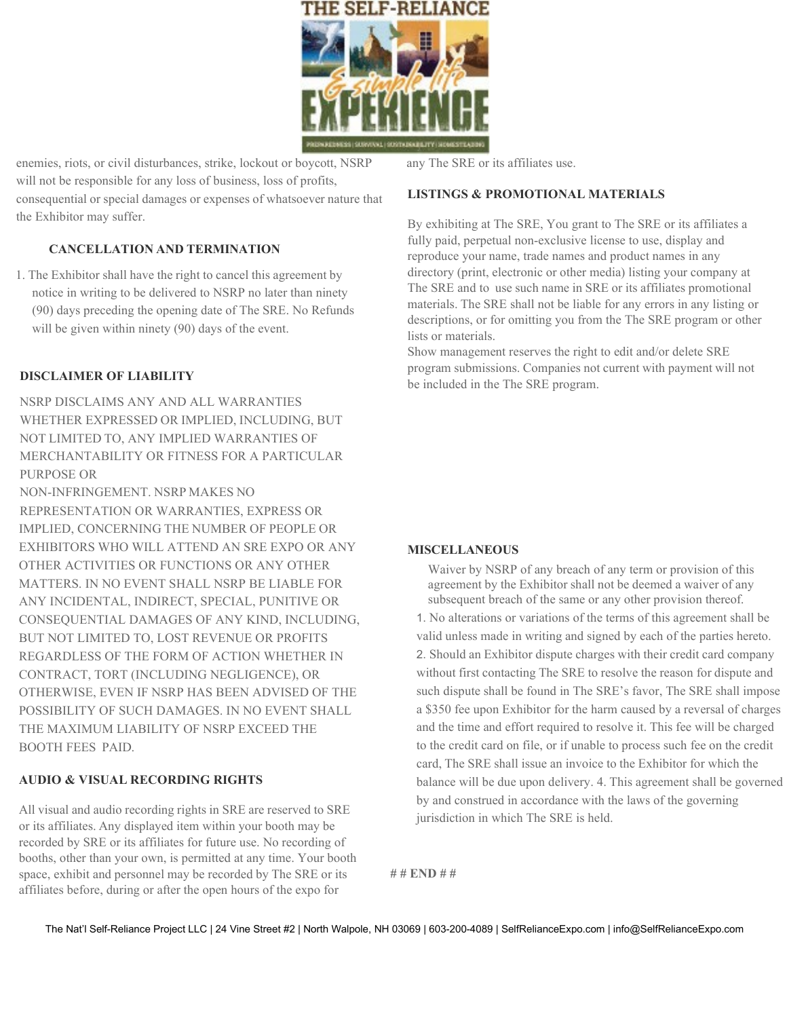

enemies, riots, or civil disturbances, strike, lockout or boycott, NSRP will not be responsible for any loss of business, loss of profits, consequential or special damages or expenses of whatsoever nature that the Exhibitor may suffer.

# **CANCELLATION AND TERMINATION**

1. The Exhibitor shall have the right to cancel this agreement by notice in writing to be delivered to NSRP no later than ninety (90) days preceding the opening date of The SRE. No Refunds will be given within ninety (90) days of the event.

### **DISCLAIMER OF LIABILITY**

NSRP DISCLAIMS ANY AND ALL WARRANTIES WHETHER EXPRESSED OR IMPLIED, INCLUDING, BUT NOT LIMITED TO, ANY IMPLIED WARRANTIES OF MERCHANTABILITY OR FITNESS FOR A PARTICULAR PURPOSE OR

NON-INFRINGEMENT. NSRP MAKES NO REPRESENTATION OR WARRANTIES, EXPRESS OR IMPLIED, CONCERNING THE NUMBER OF PEOPLE OR EXHIBITORS WHO WILL ATTEND AN SRE EXPO OR ANY OTHER ACTIVITIES OR FUNCTIONS OR ANY OTHER MATTERS. IN NO EVENT SHALL NSRP BE LIABLE FOR ANY INCIDENTAL, INDIRECT, SPECIAL, PUNITIVE OR CONSEQUENTIAL DAMAGES OF ANY KIND, INCLUDING, BUT NOT LIMITED TO, LOST REVENUE OR PROFITS REGARDLESS OF THE FORM OF ACTION WHETHER IN CONTRACT, TORT (INCLUDING NEGLIGENCE), OR OTHERWISE, EVEN IF NSRP HAS BEEN ADVISED OF THE POSSIBILITY OF SUCH DAMAGES. IN NO EVENT SHALL THE MAXIMUM LIABILITY OF NSRP EXCEED THE BOOTH FEES PAID.

## **AUDIO & VISUAL RECORDING RIGHTS**

All visual and audio recording rights in SRE are reserved to SRE or its affiliates. Any displayed item within your booth may be recorded by SRE or its affiliates for future use. No recording of booths, other than your own, is permitted at any time. Your booth space, exhibit and personnel may be recorded by The SRE or its affiliates before, during or after the open hours of the expo for

any The SRE or its affiliates use.

#### **LISTINGS & PROMOTIONAL MATERIALS**

By exhibiting at The SRE, You grant to The SRE or its affiliates a fully paid, perpetual non-exclusive license to use, display and reproduce your name, trade names and product names in any directory (print, electronic or other media) listing your company at The SRE and to use such name in SRE or its affiliates promotional materials. The SRE shall not be liable for any errors in any listing or descriptions, or for omitting you from the The SRE program or other lists or materials.

Show management reserves the right to edit and/or delete SRE program submissions. Companies not current with payment will not be included in the The SRE program.

### **MISCELLANEOUS**

Waiver by NSRP of any breach of any term or provision of this agreement by the Exhibitor shall not be deemed a waiver of any subsequent breach of the same or any other provision thereof.

1. No alterations or variations of the terms of this agreement shall be valid unless made in writing and signed by each of the parties hereto. 2. Should an Exhibitor dispute charges with their credit card company without first contacting The SRE to resolve the reason for dispute and such dispute shall be found in The SRE's favor, The SRE shall impose a \$350 fee upon Exhibitor for the harm caused by a reversal of charges and the time and effort required to resolve it. This fee will be charged to the credit card on file, or if unable to process such fee on the credit card, The SRE shall issue an invoice to the Exhibitor for which the balance will be due upon delivery. 4. This agreement shall be governed by and construed in accordance with the laws of the governing jurisdiction in which The SRE is held.

**# # END # #**

The Nat'l Self-Reliance Project LLC | 24 Vine Street #2 | North Walpole, NH 03069 | 603-200-4089 | SelfRelianceExpo.com | info@SelfRelianceExpo.com